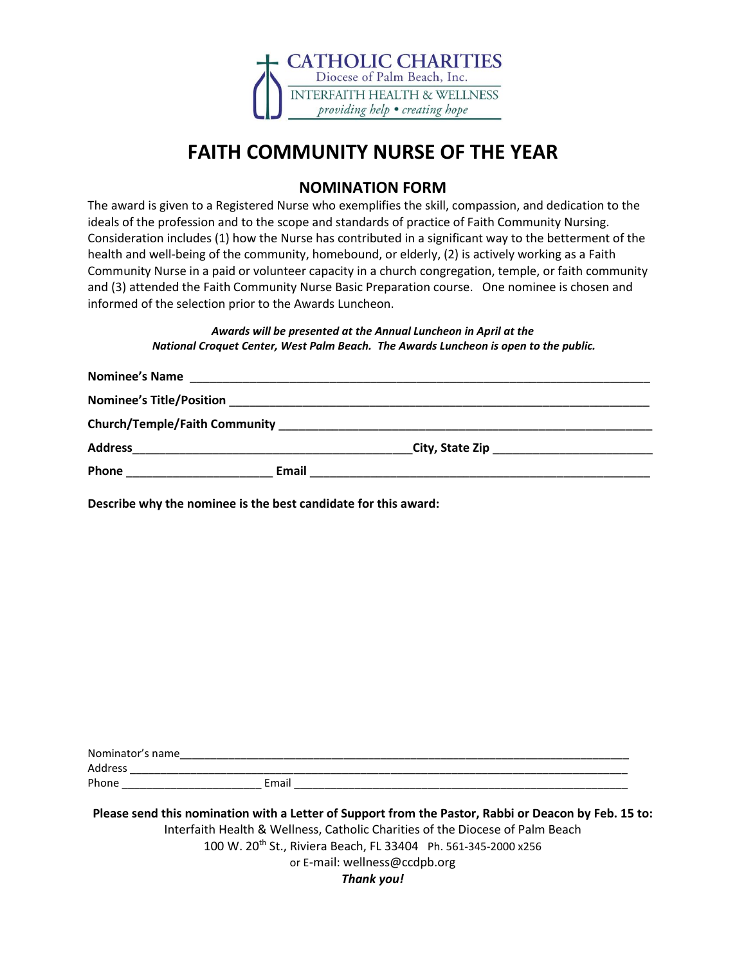

### **FAITH COMMUNITY NURSE OF THE YEAR**

### **NOMINATION FORM**

The award is given to a Registered Nurse who exemplifies the skill, compassion, and dedication to the ideals of the profession and to the scope and standards of practice of Faith Community Nursing. Consideration includes (1) how the Nurse has contributed in a significant way to the betterment of the health and well-being of the community, homebound, or elderly, (2) is actively working as a Faith Community Nurse in a paid or volunteer capacity in a church congregation, temple, or faith community and (3) attended the Faith Community Nurse Basic Preparation course. One nominee is chosen and informed of the selection prior to the Awards Luncheon.

#### *Awards will be presented at the Annual Luncheon in April at the National Croquet Center, West Palm Beach. The Awards Luncheon is open to the public.*

| <b>Nominee's Name</b>           |                                                             |  |
|---------------------------------|-------------------------------------------------------------|--|
| <b>Nominee's Title/Position</b> |                                                             |  |
|                                 |                                                             |  |
| <b>Address</b>                  | <u> 1989 - Andrea Stein, amerikansk politiker (d. 1989)</u> |  |
| Phone                           | Email                                                       |  |

**Describe why the nominee is the best candidate for this award:**

| Nominator's name |       |  |
|------------------|-------|--|
| <b>Address</b>   |       |  |
| Phone            | Email |  |
|                  |       |  |

**Please send this nomination with a Letter of Support from the Pastor, Rabbi or Deacon by Feb. 15 to:** Interfaith Health & Wellness, Catholic Charities of the Diocese of Palm Beach 100 W. 20th St., Riviera Beach, FL 33404 Ph. 561-345-2000 x256 or E-mail: wellness@ccdpb.org *Thank you!*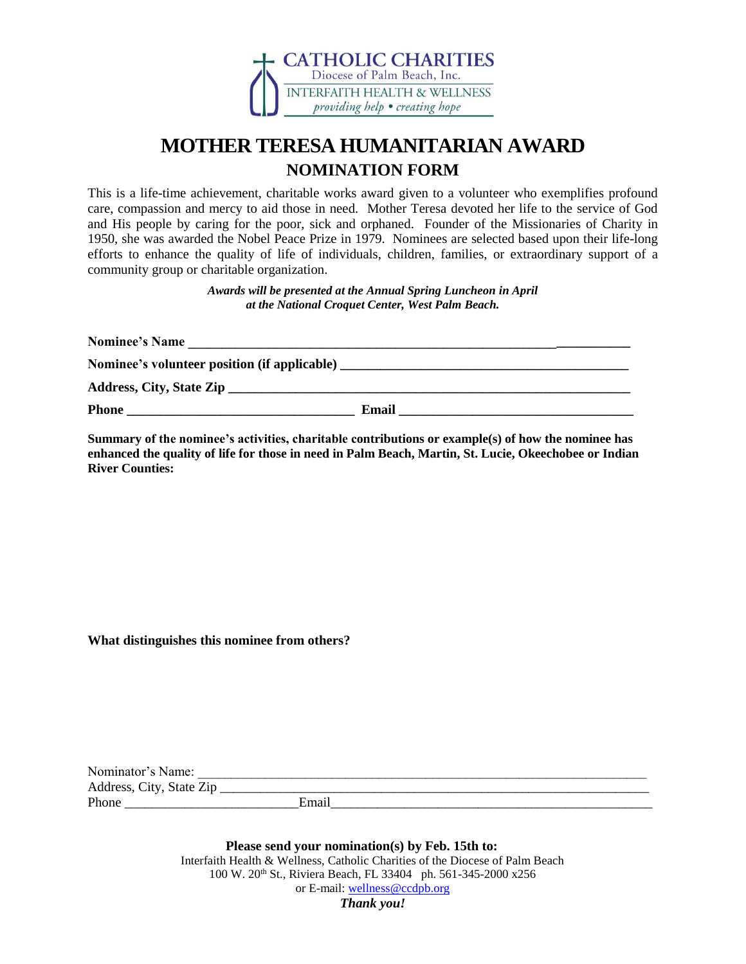

# **MOTHER TERESA HUMANITARIAN AWARD NOMINATION FORM**

This is a life-time achievement, charitable works award given to a volunteer who exemplifies profound care, compassion and mercy to aid those in need.Mother Teresa devoted her life to the service of God and His people by caring for the poor, sick and orphaned. Founder of the Missionaries of Charity in 1950, she was awarded the Nobel Peace Prize in 1979. Nominees are selected based upon their life-long efforts to enhance the quality of life of individuals, children, families, or extraordinary support of a community group or charitable organization.

> *Awards will be presented at the Annual Spring Luncheon in April at the National Croquet Center, West Palm Beach.*

| <b>Nominee's Name</b>                                                                                                                                                                                                              |       |  |
|------------------------------------------------------------------------------------------------------------------------------------------------------------------------------------------------------------------------------------|-------|--|
| Nominee's volunteer position (if applicable) <b>Solution</b> and the set of the set of the set of the set of the set of the set of the set of the set of the set of the set of the set of the set of the set of the set of the set |       |  |
|                                                                                                                                                                                                                                    |       |  |
| <b>Phone</b>                                                                                                                                                                                                                       | Email |  |

**Summary of the nominee's activities, charitable contributions or example(s) of how the nominee has enhanced the quality of life for those in need in Palm Beach, Martin, St. Lucie, Okeechobee or Indian River Counties:** 

**What distinguishes this nominee from others?** 

| Nominator's Name:        |       |  |
|--------------------------|-------|--|
| Address, City, State Zip |       |  |
| Phone                    | Email |  |

**Please send your nomination(s) by Feb. 15th to:**  Interfaith Health & Wellness, Catholic Charities of the Diocese of Palm Beach 100 W. 20th St., Riviera Beach, FL 33404 ph. 561-345-2000 x256 or E-mail: [wellness@ccdpb.org](mailto:wellness@ccdpb.org)  *Thank you!*